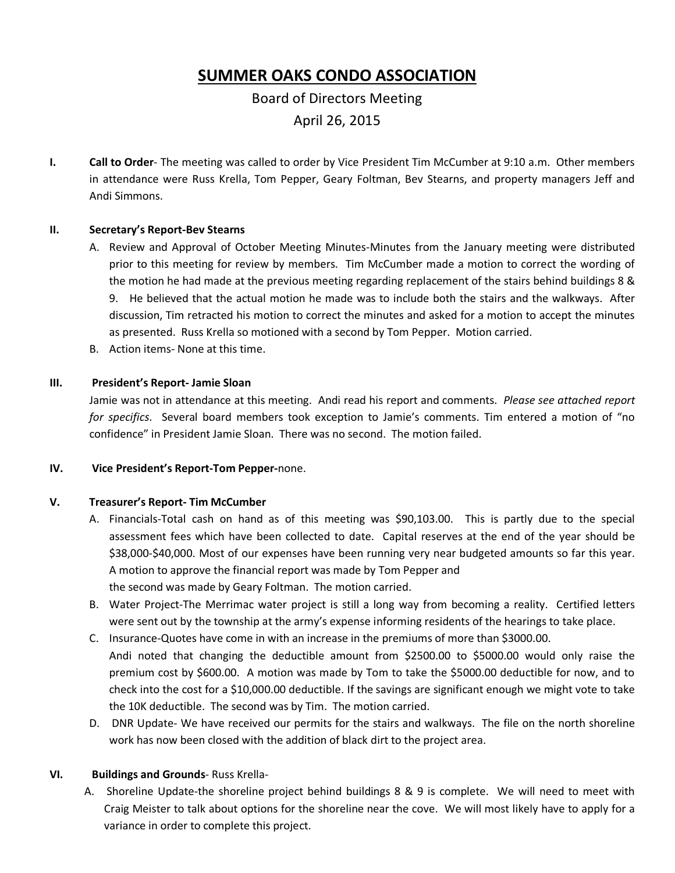# **SUMMER OAKS CONDO ASSOCIATION**

## Board of Directors Meeting April 26, 2015

**I. Call to Order**- The meeting was called to order by Vice President Tim McCumber at 9:10 a.m. Other members in attendance were Russ Krella, Tom Pepper, Geary Foltman, Bev Stearns, and property managers Jeff and Andi Simmons.

#### **II. Secretary's Report-Bev Stearns**

- A. Review and Approval of October Meeting Minutes-Minutes from the January meeting were distributed prior to this meeting for review by members. Tim McCumber made a motion to correct the wording of the motion he had made at the previous meeting regarding replacement of the stairs behind buildings 8 & 9. He believed that the actual motion he made was to include both the stairs and the walkways. After discussion, Tim retracted his motion to correct the minutes and asked for a motion to accept the minutes as presented. Russ Krella so motioned with a second by Tom Pepper. Motion carried.
- B. Action items- None at this time.

#### **III. President's Report- Jamie Sloan**

Jamie was not in attendance at this meeting. Andi read his report and comments. *Please see attached report for specifics*. Several board members took exception to Jamie's comments. Tim entered a motion of "no confidence" in President Jamie Sloan. There was no second. The motion failed.

#### **IV. Vice President's Report-Tom Pepper-**none.

#### **V. Treasurer's Report- Tim McCumber**

- A. Financials-Total cash on hand as of this meeting was \$90,103.00. This is partly due to the special assessment fees which have been collected to date. Capital reserves at the end of the year should be \$38,000-\$40,000. Most of our expenses have been running very near budgeted amounts so far this year. A motion to approve the financial report was made by Tom Pepper and the second was made by Geary Foltman. The motion carried.
- B. Water Project-The Merrimac water project is still a long way from becoming a reality. Certified letters were sent out by the township at the army's expense informing residents of the hearings to take place.
- C. Insurance-Quotes have come in with an increase in the premiums of more than \$3000.00. Andi noted that changing the deductible amount from \$2500.00 to \$5000.00 would only raise the premium cost by \$600.00. A motion was made by Tom to take the \$5000.00 deductible for now, and to check into the cost for a \$10,000.00 deductible. If the savings are significant enough we might vote to take the 10K deductible. The second was by Tim. The motion carried.
- D. DNR Update- We have received our permits for the stairs and walkways. The file on the north shoreline work has now been closed with the addition of black dirt to the project area.

#### **VI. Buildings and Grounds**- Russ Krella-

A. Shoreline Update-the shoreline project behind buildings 8 & 9 is complete. We will need to meet with Craig Meister to talk about options for the shoreline near the cove. We will most likely have to apply for a variance in order to complete this project.